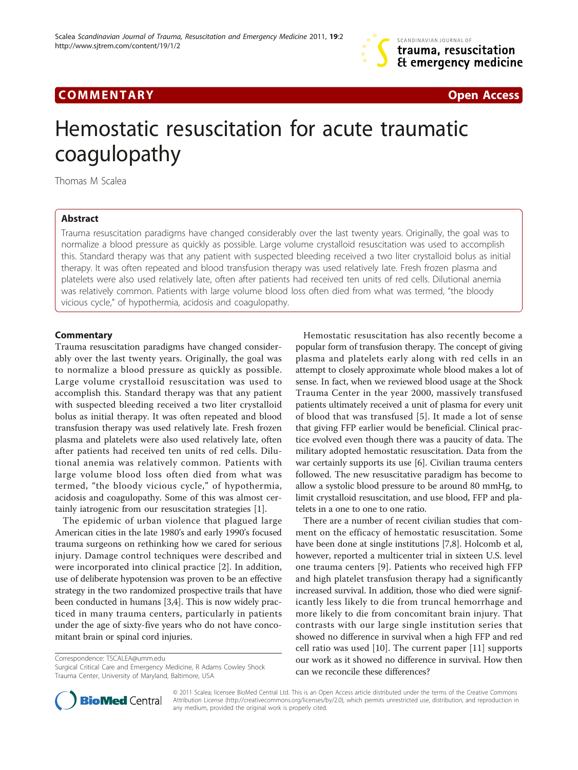

# **COMMENTARY COMMENTARY Open Access**

# Hemostatic resuscitation for acute traumatic coagulopathy

Thomas M Scalea

## Abstract

Trauma resuscitation paradigms have changed considerably over the last twenty years. Originally, the goal was to normalize a blood pressure as quickly as possible. Large volume crystalloid resuscitation was used to accomplish this. Standard therapy was that any patient with suspected bleeding received a two liter crystalloid bolus as initial therapy. It was often repeated and blood transfusion therapy was used relatively late. Fresh frozen plasma and platelets were also used relatively late, often after patients had received ten units of red cells. Dilutional anemia was relatively common. Patients with large volume blood loss often died from what was termed, "the bloody vicious cycle," of hypothermia, acidosis and coagulopathy.

### **Commentary**

Trauma resuscitation paradigms have changed considerably over the last twenty years. Originally, the goal was to normalize a blood pressure as quickly as possible. Large volume crystalloid resuscitation was used to accomplish this. Standard therapy was that any patient with suspected bleeding received a two liter crystalloid bolus as initial therapy. It was often repeated and blood transfusion therapy was used relatively late. Fresh frozen plasma and platelets were also used relatively late, often after patients had received ten units of red cells. Dilutional anemia was relatively common. Patients with large volume blood loss often died from what was termed, "the bloody vicious cycle," of hypothermia, acidosis and coagulopathy. Some of this was almost certainly iatrogenic from our resuscitation strategies [[1\]](#page-1-0).

The epidemic of urban violence that plagued large American cities in the late 1980's and early 1990's focused trauma surgeons on rethinking how we cared for serious injury. Damage control techniques were described and were incorporated into clinical practice [\[2](#page-1-0)]. In addition, use of deliberate hypotension was proven to be an effective strategy in the two randomized prospective trails that have been conducted in humans [[3,4\]](#page-1-0). This is now widely practiced in many trauma centers, particularly in patients under the age of sixty-five years who do not have concomitant brain or spinal cord injuries.

Correspondence: [TSCALEA@umm.edu](mailto:TSCALEA@umm.edu)

Surgical Critical Care and Emergency Medicine, R Adams Cowley Shock Trauma Center, University of Maryland, Baltimore, USA



There are a number of recent civilian studies that comment on the efficacy of hemostatic resuscitation. Some have been done at single institutions [[7,8\]](#page-1-0). Holcomb et al, however, reported a multicenter trial in sixteen U.S. level one trauma centers [[9\]](#page-1-0). Patients who received high FFP and high platelet transfusion therapy had a significantly increased survival. In addition, those who died were significantly less likely to die from truncal hemorrhage and more likely to die from concomitant brain injury. That contrasts with our large single institution series that showed no difference in survival when a high FFP and red cell ratio was used [[10\]](#page-1-0). The current paper [[11\]](#page-1-0) supports our work as it showed no difference in survival. How then can we reconcile these differences?



© 2011 Scalea; licensee BioMed Central Ltd. This is an Open Access article distributed under the terms of the Creative Commons Attribution License [\(http://creativecommons.org/licenses/by/2.0](http://creativecommons.org/licenses/by/2.0)), which permits unrestricted use, distribution, and reproduction in any medium, provided the original work is properly cited.